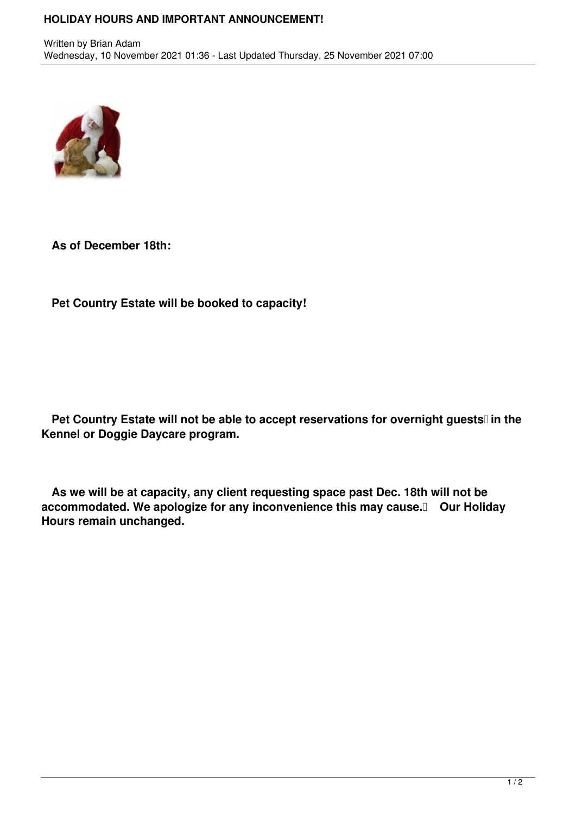## **HOLIDAY HOURS AND IMPORTANT ANNOUNCEMENT!**



**As of December 18th:** 

**Pet Country Estate will be booked to capacity!**

Pet Country Estate will not be able to accept reservations for overnight guests<sup>[]</sup> in the **Kennel or Doggie Daycare program.**

 **As we will be at capacity, any client requesting space past Dec. 18th will not be accommodated. We apologize for any inconvenience this may cause. Our Holiday Hours remain unchanged.**